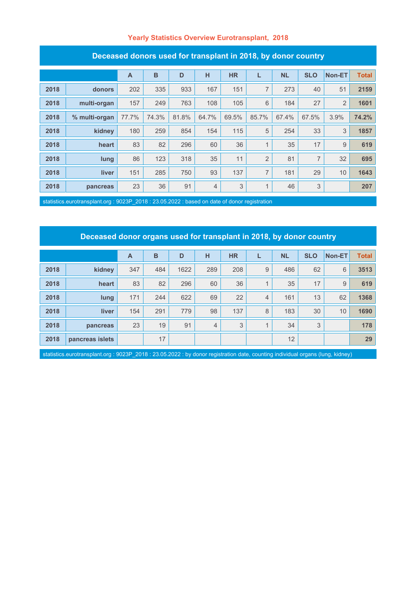### **Yearly Statistics Overview Eurotransplant, 2018**

| Deceased donors daed for transplant in Z010, by donor country |               |                |       |       |                |           |                |           |                |                |              |
|---------------------------------------------------------------|---------------|----------------|-------|-------|----------------|-----------|----------------|-----------|----------------|----------------|--------------|
|                                                               |               | $\overline{A}$ | B     | D     | H              | <b>HR</b> | L              | <b>NL</b> | <b>SLO</b>     | Non-ET         | <b>Total</b> |
| 2018                                                          | donors        | 202            | 335   | 933   | 167            | 151       | $\overline{7}$ | 273       | 40             | 51             | 2159         |
| 2018                                                          | multi-organ   | 157            | 249   | 763   | 108            | 105       | 6              | 184       | 27             | $\overline{2}$ | 1601         |
| 2018                                                          | % multi-organ | 77.7%          | 74.3% | 81.8% | 64.7%          | 69.5%     | 85.7%          | 67.4%     | 67.5%          | 3.9%           | 74.2%        |
| 2018                                                          | kidney        | 180            | 259   | 854   | 154            | 115       | 5              | 254       | 33             | 3              | 1857         |
| 2018                                                          | heart         | 83             | 82    | 296   | 60             | 36        | 1              | 35        | 17             | 9              | 619          |
| 2018                                                          | lung          | 86             | 123   | 318   | 35             | 11        | $\overline{2}$ | 81        | $\overline{7}$ | 32             | 695          |
| 2018                                                          | liver         | 151            | 285   | 750   | 93             | 137       | $\overline{7}$ | 181       | 29             | 10             | 1643         |
| 2018                                                          | pancreas      | 23             | 36    | 91    | $\overline{4}$ | 3         | 1              | 46        | 3              |                | 207          |

#### **Deceased donors used for transplant in 2018, by donor country**

statistics.eurotransplant.org : 9023P\_2018 : 23.05.2022 : based on date of donor registration

### **Deceased donor organs used for transplant in 2018, by donor country**

|      |                 | A   | B   | D    | н              | <b>HR</b> |   | <b>NL</b> | <b>SLO</b> | <b>Non-ET</b> | <b>Total</b> |
|------|-----------------|-----|-----|------|----------------|-----------|---|-----------|------------|---------------|--------------|
| 2018 | kidney          | 347 | 484 | 1622 | 289            | 208       | 9 | 486       | 62         | $6\,$         | 3513         |
| 2018 | heart           | 83  | 82  | 296  | 60             | 36        |   | 35        | 17         | 9             | 619          |
| 2018 | lung            | 171 | 244 | 622  | 69             | 22        | 4 | 161       | 13         | 62            | 1368         |
| 2018 | <b>liver</b>    | 154 | 291 | 779  | 98             | 137       | 8 | 183       | 30         | 10            | 1690         |
| 2018 | pancreas        | 23  | 19  | 91   | $\overline{4}$ | 3         |   | 34        | 3          |               | 178          |
| 2018 | pancreas islets |     | 17  |      |                |           |   | 12        |            |               | 29           |

statistics.eurotransplant.org : 9023P\_2018 : 23.05.2022 : by donor registration date, counting individual organs (lung, kidney)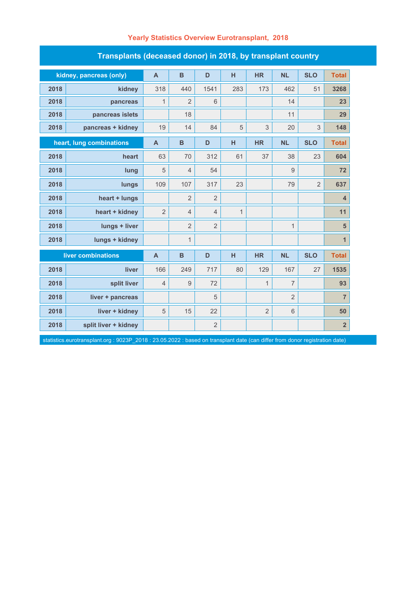| Transplants (deceased donor) in 2018, by transplant country |                          |                |                  |                |              |                           |                |                |                         |  |  |  |
|-------------------------------------------------------------|--------------------------|----------------|------------------|----------------|--------------|---------------------------|----------------|----------------|-------------------------|--|--|--|
|                                                             | kidney, pancreas (only)  | $\mathsf{A}$   | $\mathbf B$      | D              | н            | <b>HR</b>                 | <b>NL</b>      | <b>SLO</b>     | <b>Total</b>            |  |  |  |
| 2018                                                        | kidney                   | 318            | 440              | 1541           | 283          | 173                       | 462            | 51             | 3268                    |  |  |  |
| 2018                                                        | pancreas                 | 1              | $\overline{2}$   | 6              |              |                           | 14             |                | 23                      |  |  |  |
| 2018                                                        | pancreas islets          |                | 18               |                |              |                           | 11             |                | 29                      |  |  |  |
| 2018                                                        | pancreas + kidney        | 19             | 14               | 84             | 5            | $\ensuremath{\mathsf{3}}$ | 20             | $\mathsf 3$    | 148                     |  |  |  |
|                                                             | heart, lung combinations | $\overline{A}$ | B                | D              | н            | <b>HR</b>                 | <b>NL</b>      | <b>SLO</b>     | <b>Total</b>            |  |  |  |
| 2018                                                        | heart                    | 63             | 70               | 312            | 61           | 37                        | 38             | 23             | 604                     |  |  |  |
| 2018                                                        | lung                     | 5              | $\overline{4}$   | 54             |              |                           | 9              |                | 72                      |  |  |  |
| 2018                                                        | lungs                    | 109            | 107              | 317            | 23           |                           | 79             | $\overline{2}$ | 637                     |  |  |  |
| 2018                                                        | heart + lungs            |                | $\overline{2}$   | $\overline{2}$ |              |                           |                |                | $\overline{4}$          |  |  |  |
| 2018                                                        | heart + kidney           | $\overline{2}$ | $\overline{4}$   | $\overline{4}$ | $\mathbf{1}$ |                           |                |                | 11                      |  |  |  |
| 2018                                                        | lungs + liver            |                | $\overline{2}$   | $\overline{2}$ |              |                           | 1              |                | 5                       |  |  |  |
| 2018                                                        | lungs + kidney           |                | $\mathbf{1}$     |                |              |                           |                |                | $\mathbf{1}$            |  |  |  |
| liver combinations                                          |                          | $\overline{A}$ | $\mathbf B$      | D              | н            | <b>HR</b>                 | <b>NL</b>      | <b>SLO</b>     | <b>Total</b>            |  |  |  |
| 2018                                                        | liver                    | 166            | 249              | 717            | 80           | 129                       | 167            | 27             | 1535                    |  |  |  |
| 2018                                                        | split liver              | $\overline{4}$ | $\boldsymbol{9}$ | 72             |              | $\mathbf{1}$              | $\overline{7}$ |                | 93                      |  |  |  |
| 2018                                                        | liver + pancreas         |                |                  | 5              |              |                           | $\overline{2}$ |                | $\overline{7}$          |  |  |  |
| 2018                                                        | liver + kidney           | 5              | 15               | 22             |              | $\overline{2}$            | 6              |                | 50                      |  |  |  |
| 2018                                                        | split liver + kidney     |                |                  | $\overline{2}$ |              |                           |                |                | $\overline{\mathbf{2}}$ |  |  |  |

# **Yearly Statistics Overview Eurotransplant, 2018**

statistics.eurotransplant.org : 9023P\_2018 : 23.05.2022 : based on transplant date (can differ from donor registration date)